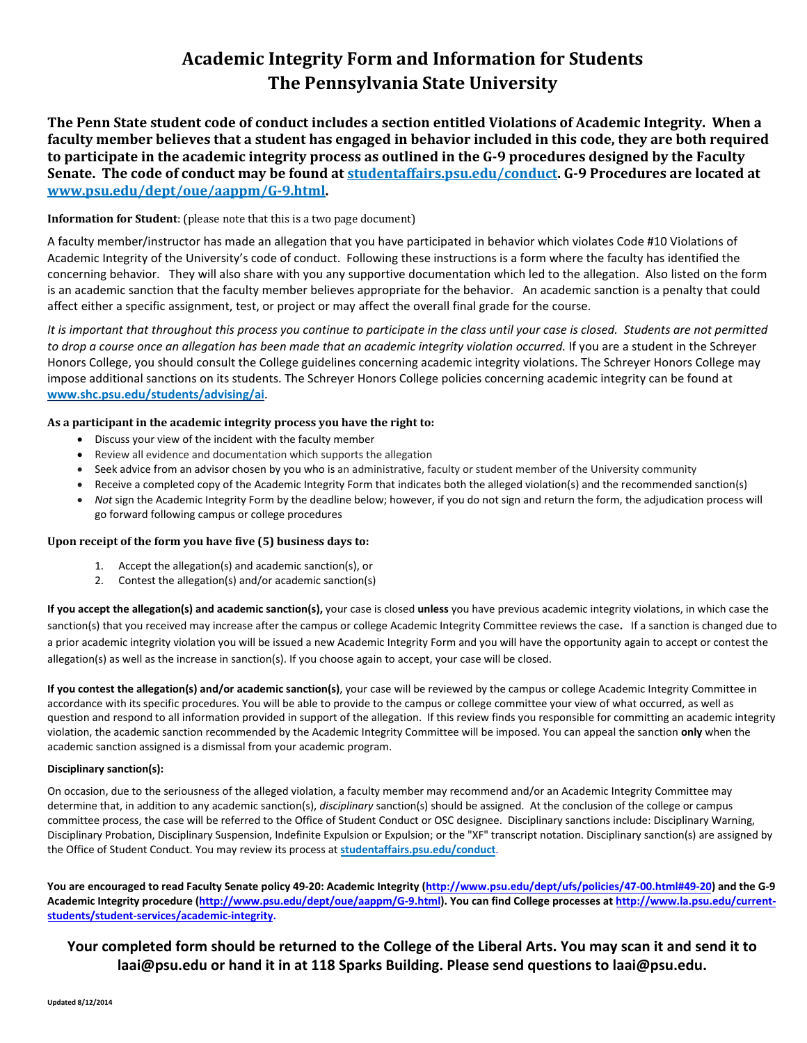# **Academic Integrity Form and Information for Students The Pennsylvania State University**

**The Penn State student code of conduct includes a section entitled Violations of Academic Integrity. When a faculty member believes that a student has engaged in behavior included in this code, they are both required to participate in the academic integrity process as outlined in the G-9 procedures designed by the Faculty Senate. The code of conduct may be found a[t studentaffairs.psu.edu/conduct.](http://studentaffairs.psu.edu/conduct) G-9 Procedures are located at [www.psu.edu/dept/oue/aappm/G-9.html.](http://www.psu.edu/dept/oue/aappm/G-9.html)** 

## **Information for Student**: (please note that this is a two page document)

A faculty member/instructor has made an allegation that you have participated in behavior which violates Code #10 Violations of Academic Integrity of the University's code of conduct. Following these instructions is a form where the faculty has identified the concerning behavior. They will also share with you any supportive documentation which led to the allegation. Also listed on the form is an academic sanction that the faculty member believes appropriate for the behavior. An academic sanction is a penalty that could affect either a specific assignment, test, or project or may affect the overall final grade for the course.

*It is important that throughout this process you continue to participate in the class until your case is closed. Students are not permitted to drop a course once an allegation has been made that an academic integrity violation occurred.* If you are a student in the Schreyer Honors College, you should consult the College guidelines concerning academic integrity violations. The Schreyer Honors College may impose additional sanctions on its students. The Schreyer Honors College policies concerning academic integrity can be found at **[www.shc.psu.edu/students/advising/ai](http://www.hhdev.psu.edu/policies/www.shc.psu.edu/students/advising/ai)**.

## **As a participant in the academic integrity process you have the right to:**

- Discuss your view of the incident with the faculty member
- Review all evidence and documentation which supports the allegation
- Seek advice from an advisor chosen by you who is an administrative, faculty or student member of the University community
- Receive a completed copy of the Academic Integrity Form that indicates both the alleged violation(s) and the recommended sanction(s)
- *Not* sign the Academic Integrity Form by the deadline below; however, if you do not sign and return the form, the adjudication process will go forward following campus or college procedures

#### **Upon receipt of the form you have five (5) business days to:**

- 1. Accept the allegation(s) and academic sanction(s), or
- 2. Contest the allegation(s) and/or academic sanction(s)

**If you accept the allegation(s) and academic sanction(s),** your case is closed **unless** you have previous academic integrity violations, in which case the sanction(s) that you received may increase after the campus or college Academic Integrity Committee reviews the case**.** If a sanction is changed due to a prior academic integrity violation you will be issued a new Academic Integrity Form and you will have the opportunity again to accept or contest the allegation(s) as well as the increase in sanction(s). If you choose again to accept, your case will be closed.

**If you contest the allegation(s) and/or academic sanction(s)**, your case will be reviewed by the campus or college Academic Integrity Committee in accordance with its specific procedures. You will be able to provide to the campus or college committee your view of what occurred, as well as question and respond to all information provided in support of the allegation. If this review finds you responsible for committing an academic integrity violation, the academic sanction recommended by the Academic Integrity Committee will be imposed. You can appeal the sanction **only** when the academic sanction assigned is a dismissal from your academic program.

#### **Disciplinary sanction(s):**

On occasion, due to the seriousness of the alleged violation, a faculty member may recommend and/or an Academic Integrity Committee may determine that, in addition to any academic sanction(s), *disciplinary* sanction(s) should be assigned. At the conclusion of the college or campus committee process, the case will be referred to the Office of Student Conduct or OSC designee. Disciplinary sanctions include: Disciplinary Warning, Disciplinary Probation, Disciplinary Suspension, Indefinite Expulsion or Expulsion; or the "XF" transcript notation. Disciplinary sanction(s) are assigned by the Office of Student Conduct. You may review its process at **st[udentaffairs.psu.edu/conduct](http://studentaffairs.psu.edu/conduct)**.

**You are encouraged to read Faculty Senate policy 49-20: Academic Integrity ([http://www.psu.edu/dept/ufs/policies/47-00.html](http://www.psu.edu/dept/ufs/policies/47-00.html#49-20)#49-20) and the G-9 Academic Integrity procedure (http://www.psu.edu/dept/oue/aappm/G-9.html). You can find College processes at http://www.la.psu.edu/currentstudents/student-services/academic-integrity.**

# **[Your completed form should be returned to the College of the Liberal Arts. You may scan it and](http://www.psu.edu/dept/oue/aappm/G-9.html) send it to laai@[psu.edu or hand it in at 118 S](http://www.engr.psu.edu/AcademicIntegrity/default.aspx)parks Building. Please send questions to laai@psu.edu.**